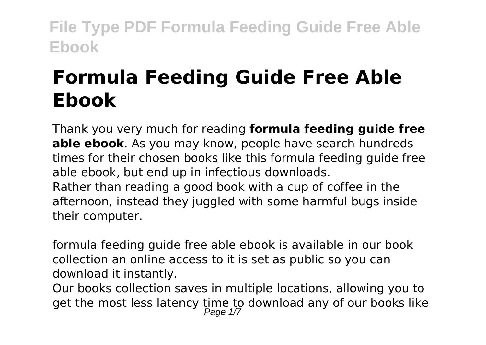# **Formula Feeding Guide Free Able Ebook**

Thank you very much for reading **formula feeding guide free able ebook**. As you may know, people have search hundreds times for their chosen books like this formula feeding guide free able ebook, but end up in infectious downloads. Rather than reading a good book with a cup of coffee in the afternoon, instead they juggled with some harmful bugs inside their computer.

formula feeding guide free able ebook is available in our book collection an online access to it is set as public so you can download it instantly.

Our books collection saves in multiple locations, allowing you to get the most less latency time to download any of our books like<br>Page 1/7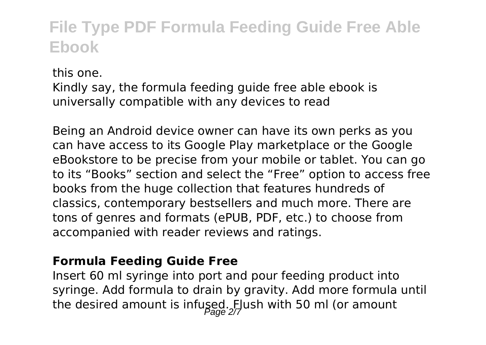this one. Kindly say, the formula feeding guide free able ebook is universally compatible with any devices to read

Being an Android device owner can have its own perks as you can have access to its Google Play marketplace or the Google eBookstore to be precise from your mobile or tablet. You can go to its "Books" section and select the "Free" option to access free books from the huge collection that features hundreds of classics, contemporary bestsellers and much more. There are tons of genres and formats (ePUB, PDF, etc.) to choose from accompanied with reader reviews and ratings.

#### **Formula Feeding Guide Free**

Insert 60 ml syringe into port and pour feeding product into syringe. Add formula to drain by gravity. Add more formula until the desired amount is infused. Flush with 50 ml (or amount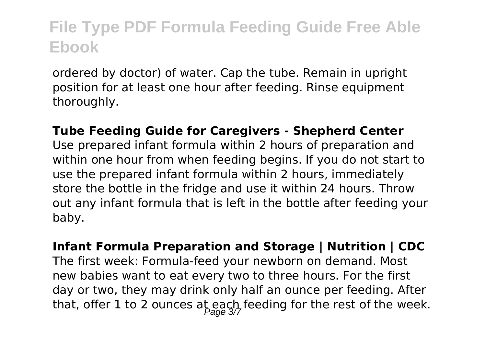ordered by doctor) of water. Cap the tube. Remain in upright position for at least one hour after feeding. Rinse equipment thoroughly.

**Tube Feeding Guide for Caregivers - Shepherd Center** Use prepared infant formula within 2 hours of preparation and within one hour from when feeding begins. If you do not start to use the prepared infant formula within 2 hours, immediately store the bottle in the fridge and use it within 24 hours. Throw out any infant formula that is left in the bottle after feeding your baby.

**Infant Formula Preparation and Storage | Nutrition | CDC** The first week: Formula-feed your newborn on demand. Most new babies want to eat every two to three hours. For the first day or two, they may drink only half an ounce per feeding. After that, offer 1 to 2 ounces at each feeding for the rest of the week.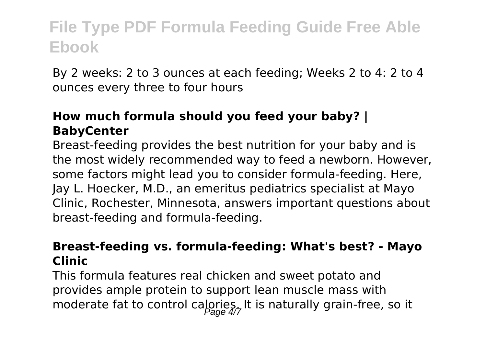By 2 weeks: 2 to 3 ounces at each feeding; Weeks 2 to 4: 2 to 4 ounces every three to four hours

#### **How much formula should you feed your baby? | BabyCenter**

Breast-feeding provides the best nutrition for your baby and is the most widely recommended way to feed a newborn. However, some factors might lead you to consider formula-feeding. Here, Jay L. Hoecker, M.D., an emeritus pediatrics specialist at Mayo Clinic, Rochester, Minnesota, answers important questions about breast-feeding and formula-feeding.

#### **Breast-feeding vs. formula-feeding: What's best? - Mayo Clinic**

This formula features real chicken and sweet potato and provides ample protein to support lean muscle mass with moderate fat to control calories. It is naturally grain-free, so it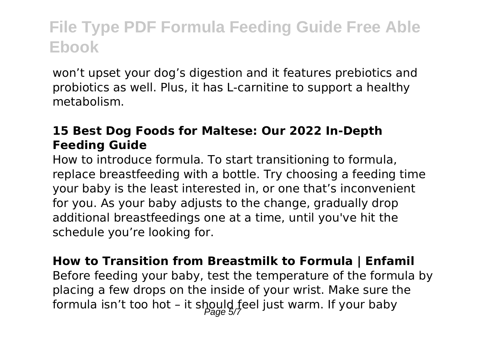won't upset your dog's digestion and it features prebiotics and probiotics as well. Plus, it has L-carnitine to support a healthy metabolism.

#### **15 Best Dog Foods for Maltese: Our 2022 In-Depth Feeding Guide**

How to introduce formula. To start transitioning to formula, replace breastfeeding with a bottle. Try choosing a feeding time your baby is the least interested in, or one that's inconvenient for you. As your baby adjusts to the change, gradually drop additional breastfeedings one at a time, until you've hit the schedule you're looking for.

**How to Transition from Breastmilk to Formula | Enfamil** Before feeding your baby, test the temperature of the formula by placing a few drops on the inside of your wrist. Make sure the formula isn't too hot - it should feel just warm. If your baby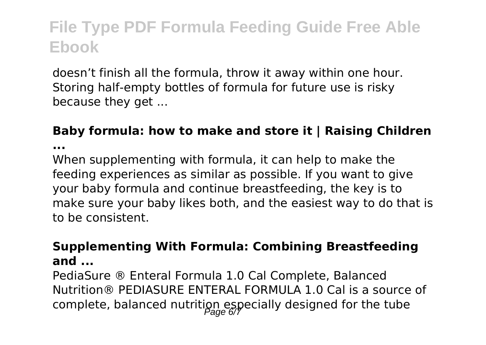doesn't finish all the formula, throw it away within one hour. Storing half-empty bottles of formula for future use is risky because they get ...

#### **Baby formula: how to make and store it | Raising Children**

**...**

When supplementing with formula, it can help to make the feeding experiences as similar as possible. If you want to give your baby formula and continue breastfeeding, the key is to make sure your baby likes both, and the easiest way to do that is to be consistent.

#### **Supplementing With Formula: Combining Breastfeeding and ...**

PediaSure ® Enteral Formula 1.0 Cal Complete, Balanced Nutrition® PEDIASURE ENTERAL FORMULA 1.0 Cal is a source of complete, balanced nutrition especially designed for the tube